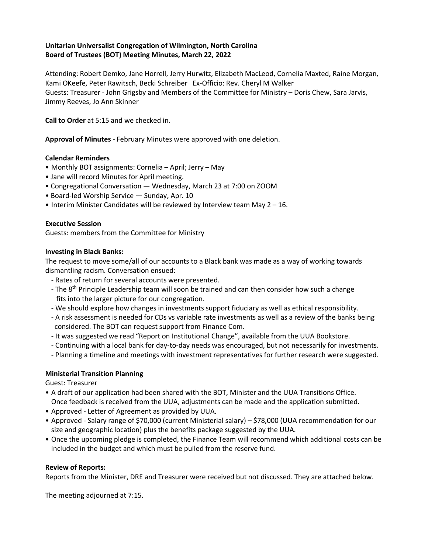## **Unitarian Universalist Congregation of Wilmington, North Carolina Board of Trustees (BOT) Meeting Minutes, March 22, 2022**

Attending: Robert Demko, Jane Horrell, Jerry Hurwitz, Elizabeth MacLeod, Cornelia Maxted, Raine Morgan, Kami OKeefe, Peter Rawitsch, Becki Schreiber Ex-Officio: Rev. Cheryl M Walker Guests: Treasurer - John Grigsby and Members of the Committee for Ministry – Doris Chew, Sara Jarvis, Jimmy Reeves, Jo Ann Skinner

**Call to Order** at 5:15 and we checked in.

**Approval of Minutes** - February Minutes were approved with one deletion.

### **Calendar Reminders**

- Monthly BOT assignments: Cornelia April; Jerry May
- Jane will record Minutes for April meeting.
- Congregational Conversation Wednesday, March 23 at 7:00 on ZOOM
- Board-led Worship Service Sunday, Apr. 10
- Interim Minister Candidates will be reviewed by Interview team May 2 16.

### **Executive Session**

Guests: members from the Committee for Ministry

### **Investing in Black Banks:**

The request to move some/all of our accounts to a Black bank was made as a way of working towards dismantling racism. Conversation ensued:

- Rates of return for several accounts were presented.
- The 8<sup>th</sup> Principle Leadership team will soon be trained and can then consider how such a change fits into the larger picture for our congregation.
- We should explore how changes in investments support fiduciary as well as ethical responsibility.
- A risk assessment is needed for CDs vs variable rate investments as well as a review of the banks being considered. The BOT can request support from Finance Com.
- It was suggested we read "Report on Institutional Change", available from the UUA Bookstore.
- Continuing with a local bank for day-to-day needs was encouraged, but not necessarily for investments.
- Planning a timeline and meetings with investment representatives for further research were suggested.

### **Ministerial Transition Planning**

Guest: Treasurer

- A draft of our application had been shared with the BOT, Minister and the UUA Transitions Office. Once feedback is received from the UUA, adjustments can be made and the application submitted.
- Approved Letter of Agreement as provided by UUA.
- Approved Salary range of \$70,000 (current Ministerial salary) \$78,000 (UUA recommendation for our size and geographic location) plus the benefits package suggested by the UUA.
- Once the upcoming pledge is completed, the Finance Team will recommend which additional costs can be included in the budget and which must be pulled from the reserve fund.

### **Review of Reports:**

Reports from the Minister, DRE and Treasurer were received but not discussed. They are attached below.

The meeting adjourned at 7:15.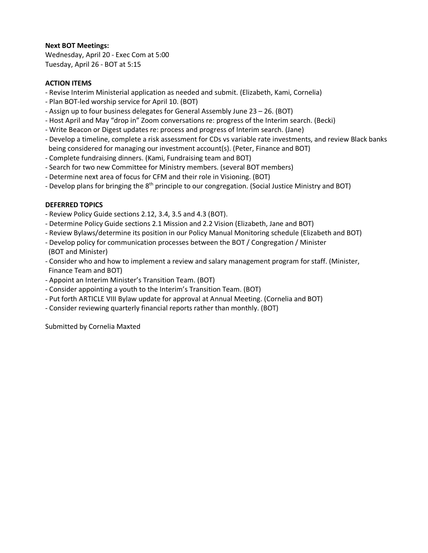## **Next BOT Meetings:**

Wednesday, April 20 - Exec Com at 5:00 Tuesday, April 26 - BOT at 5:15

### **ACTION ITEMS**

- Revise Interim Ministerial application as needed and submit. (Elizabeth, Kami, Cornelia)
- Plan BOT-led worship service for April 10. (BOT)
- Assign up to four business delegates for General Assembly June 23 26. (BOT)
- Host April and May "drop in" Zoom conversations re: progress of the Interim search. (Becki)
- Write Beacon or Digest updates re: process and progress of Interim search. (Jane)
- Develop a timeline, complete a risk assessment for CDs vs variable rate investments, and review Black banks being considered for managing our investment account(s). (Peter, Finance and BOT)
- Complete fundraising dinners. (Kami, Fundraising team and BOT)
- Search for two new Committee for Ministry members. (several BOT members)
- Determine next area of focus for CFM and their role in Visioning. (BOT)
- Develop plans for bringing the  $8<sup>th</sup>$  principle to our congregation. (Social Justice Ministry and BOT)

## **DEFERRED TOPICS**

- Review Policy Guide sections 2.12, 3.4, 3.5 and 4.3 (BOT).
- Determine Policy Guide sections 2.1 Mission and 2.2 Vision (Elizabeth, Jane and BOT)
- Review Bylaws/determine its position in our Policy Manual Monitoring schedule (Elizabeth and BOT)
- Develop policy for communication processes between the BOT / Congregation / Minister (BOT and Minister)
- Consider who and how to implement a review and salary management program for staff. (Minister, Finance Team and BOT)
- Appoint an Interim Minister's Transition Team. (BOT)
- Consider appointing a youth to the Interim's Transition Team. (BOT)
- Put forth ARTICLE VIII Bylaw update for approval at Annual Meeting. (Cornelia and BOT)
- Consider reviewing quarterly financial reports rather than monthly. (BOT)

Submitted by Cornelia Maxted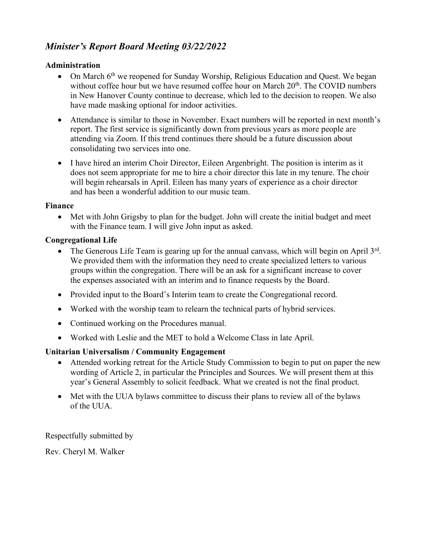# *Minister's Report Board Meeting 03/22/2022*

# **Administration**

- On March  $6<sup>th</sup>$  we reopened for Sunday Worship, Religious Education and Quest. We began without coffee hour but we have resumed coffee hour on March 20<sup>th</sup>. The COVID numbers in New Hanover County continue to decrease, which led to the decision to reopen. We also have made masking optional for indoor activities.
- Attendance is similar to those in November. Exact numbers will be reported in next month's report. The first service is significantly down from previous years as more people are attending via Zoom. If this trend continues there should be a future discussion about consolidating two services into one.
- I have hired an interim Choir Director, Eileen Argenbright. The position is interim as it does not seem appropriate for me to hire a choir director this late in my tenure. The choir will begin rehearsals in April. Eileen has many years of experience as a choir director and has been a wonderful addition to our music team.

# **Finance**

• Met with John Grigsby to plan for the budget. John will create the initial budget and meet with the Finance team. I will give John input as asked.

# **Congregational Life**

- The Generous Life Team is gearing up for the annual canvass, which will begin on April 3rd. We provided them with the information they need to create specialized letters to various groups within the congregation. There will be an ask for a significant increase to cover the expenses associated with an interim and to finance requests by the Board.
- Provided input to the Board's Interim team to create the Congregational record.
- Worked with the worship team to relearn the technical parts of hybrid services.
- Continued working on the Procedures manual.
- Worked with Leslie and the MET to hold a Welcome Class in late April.

# **Unitarian Universalism / Community Engagement**

- Attended working retreat for the Article Study Commission to begin to put on paper the new wording of Article 2, in particular the Principles and Sources. We will present them at this year's General Assembly to solicit feedback. What we created is not the final product.
- Met with the UUA bylaws committee to discuss their plans to review all of the bylaws of the UUA.

Respectfully submitted by

Rev. Cheryl M. Walker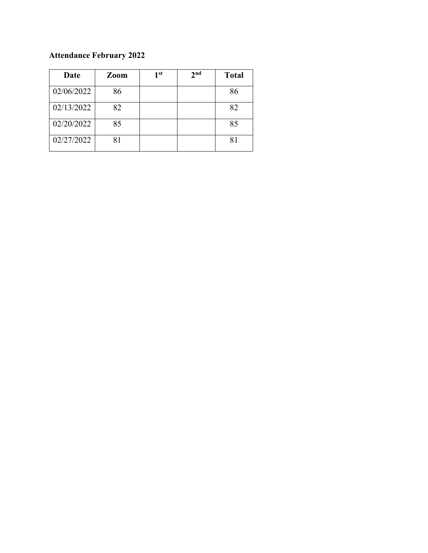# **Attendance February 2022**

| Date       | <b>Zoom</b> | 1 <sup>st</sup> | 2 <sub>nd</sub> | <b>Total</b> |
|------------|-------------|-----------------|-----------------|--------------|
| 02/06/2022 | 86          |                 |                 | 86           |
| 02/13/2022 | 82          |                 |                 | 82           |
| 02/20/2022 | 85          |                 |                 | 85           |
| 02/27/2022 |             |                 |                 | 81           |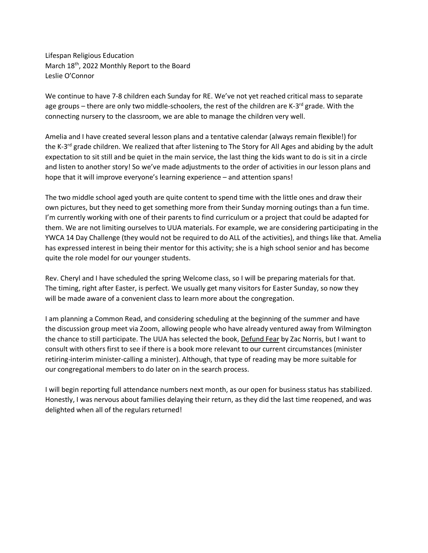Lifespan Religious Education March 18<sup>th</sup>, 2022 Monthly Report to the Board Leslie O'Connor

We continue to have 7-8 children each Sunday for RE. We've not yet reached critical mass to separate age groups – there are only two middle-schoolers, the rest of the children are K-3<sup>rd</sup> grade. With the connecting nursery to the classroom, we are able to manage the children very well.

Amelia and I have created several lesson plans and a tentative calendar (always remain flexible!) for the K-3<sup>rd</sup> grade children. We realized that after listening to The Story for All Ages and abiding by the adult expectation to sit still and be quiet in the main service, the last thing the kids want to do is sit in a circle and listen to another story! So we've made adjustments to the order of activities in our lesson plans and hope that it will improve everyone's learning experience – and attention spans!

The two middle school aged youth are quite content to spend time with the little ones and draw their own pictures, but they need to get something more from their Sunday morning outings than a fun time. I'm currently working with one of their parents to find curriculum or a project that could be adapted for them. We are not limiting ourselves to UUA materials. For example, we are considering participating in the YWCA 14 Day Challenge (they would not be required to do ALL of the activities), and things like that. Amelia has expressed interest in being their mentor for this activity; she is a high school senior and has become quite the role model for our younger students.

Rev. Cheryl and I have scheduled the spring Welcome class, so I will be preparing materials for that. The timing, right after Easter, is perfect. We usually get many visitors for Easter Sunday, so now they will be made aware of a convenient class to learn more about the congregation.

I am planning a Common Read, and considering scheduling at the beginning of the summer and have the discussion group meet via Zoom, allowing people who have already ventured away from Wilmington the chance to still participate. The UUA has selected the book, Defund Fear by Zac Norris, but I want to consult with others first to see if there is a book more relevant to our current circumstances (minister retiring-interim minister-calling a minister). Although, that type of reading may be more suitable for our congregational members to do later on in the search process.

I will begin reporting full attendance numbers next month, as our open for business status has stabilized. Honestly, I was nervous about families delaying their return, as they did the last time reopened, and was delighted when all of the regulars returned!